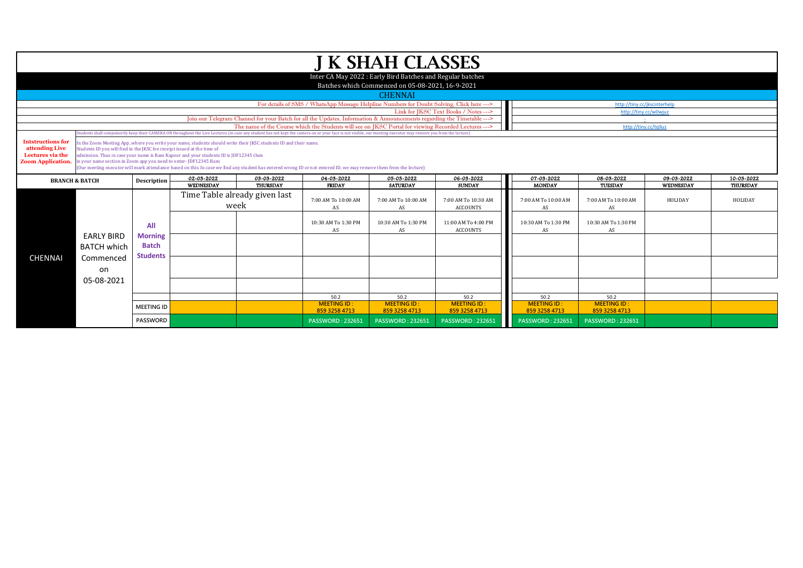| J K SHAH CLASSES<br>Inter CA May 2022 : Early Bird Batches and Regular batches<br>Batches which Commenced on 05-08-2021, 16-9-2021<br><b>CHENNAI</b><br>For details of SMS / WhatsApp Message Helpline Numbers for Doubt Solving, Click here ---><br>http://tiny.cc/jkscinterhelp<br>Link for IKSC Text Books / Notes ---><br>http://tiny.cc/w0wiuz<br>Join our Telegram Channel for your Batch for all the Updates, Information & Announcements regarding the Timetable ---><br>The name of the Course which the Students will see on IKSC Portal for viewing Recorded Lectures ---><br>http://tinv.cc/talluz<br>(tudents shall compulsorily keep their CAMERA ON throughout the Live Lectures (in case any student has not kept the camera on or your face is not visible, our meeting executor may remove you from the lecture)<br><b>Intstructions for</b><br>In the Zoom Meeting App, where you write your name, students should write their JKSC students ID and their name.<br>attending Live<br>Students ID you will find in the JKSC fee receipt issued at the time of<br>Lectures via the<br>admission. Thus in case your name is Ram Kapoor and your students ID is JDF12345 then<br>in your name section in Zoom app you need to enter-JDF12345 Ram<br><b>Zoom Application.</b><br>(Our meeting executor will mark attendance based on this. In case we find any student has entered wrong ID or not entered ID, we may remove them from the lecture)<br>02-03-2022<br>03-03-2022<br>04-03-2022<br>05-03-2022<br>06-03-2022<br>07-03-2022<br>08-03-2022<br>09-03-2022<br>10-03-2022<br>Description<br><b>BRANCH &amp; BATCH</b><br>WEDNESDAY<br><b>MONDAY</b><br>THURSDAY<br><b>FRIDAY</b><br><b>SATURDAY</b><br><b>SUNDAY</b><br>TUESDAY<br>WEDNESDAY<br>THURSDAY<br>Time Table already given last<br>HOLIDAY<br>7:00 AM To 10:00 AM<br>7:00 AM To 10:00 AM<br>7:00 AM To 10:30 AM<br>7:00 AM To 10:00 AM<br>7:00 AM To 10:00 AM<br>HOLIDAY<br>week<br>AS<br><b>ACCOUNTS</b><br>AS<br>AS<br>AS<br>11:00 AM To 4:00 PM<br>10:30 AM To 1:30 PM<br>10:30 AM To 1:30 PM<br>10:30 AM To 1:30 PM<br>10:30 AM To 1:30 PM<br>All<br>AS<br><b>ACCOUNTS</b><br>AS<br>AS<br>AS<br><b>EARLY BIRD</b><br><b>Morning</b><br><b>Batch</b><br><b>BATCH which</b><br><b>Students</b><br><b>CHENNAI</b><br>Commenced<br>on<br>05-08-2021<br>50.2<br>50.2<br>50.2<br>50.2<br>50.2<br><b>MEETING ID:</b><br><b>MEETING ID:</b><br><b>MEETING ID:</b><br><b>MEETING ID:</b><br><b>MEETING ID:</b><br><b>MEETING ID</b><br>859 3258 4713<br>859 3258 4713<br>859 3258 4713<br>859 3258 4713<br>859 3258 4713<br><b>PASSWORD</b><br><b>PASSWORD: 232651</b><br><b>PASSWORD: 232651</b><br><b>PASSWORD: 232651</b><br><b>PASSWORD: 232651</b><br><b>PASSWORD: 232651</b> |  |  |  |  |  |  |  |  |  |  |  |  |
|---------------------------------------------------------------------------------------------------------------------------------------------------------------------------------------------------------------------------------------------------------------------------------------------------------------------------------------------------------------------------------------------------------------------------------------------------------------------------------------------------------------------------------------------------------------------------------------------------------------------------------------------------------------------------------------------------------------------------------------------------------------------------------------------------------------------------------------------------------------------------------------------------------------------------------------------------------------------------------------------------------------------------------------------------------------------------------------------------------------------------------------------------------------------------------------------------------------------------------------------------------------------------------------------------------------------------------------------------------------------------------------------------------------------------------------------------------------------------------------------------------------------------------------------------------------------------------------------------------------------------------------------------------------------------------------------------------------------------------------------------------------------------------------------------------------------------------------------------------------------------------------------------------------------------------------------------------------------------------------------------------------------------------------------------------------------------------------------------------------------------------------------------------------------------------------------------------------------------------------------------------------------------------------------------------------------------------------------------------------------------------------------------------------------------------------------------------------------------------------------------------------------------------------------------------------------------------------------------------------------------------------------------------------------------------------------------------------------------------------------------------------|--|--|--|--|--|--|--|--|--|--|--|--|
|                                                                                                                                                                                                                                                                                                                                                                                                                                                                                                                                                                                                                                                                                                                                                                                                                                                                                                                                                                                                                                                                                                                                                                                                                                                                                                                                                                                                                                                                                                                                                                                                                                                                                                                                                                                                                                                                                                                                                                                                                                                                                                                                                                                                                                                                                                                                                                                                                                                                                                                                                                                                                                                                                                                                                               |  |  |  |  |  |  |  |  |  |  |  |  |
|                                                                                                                                                                                                                                                                                                                                                                                                                                                                                                                                                                                                                                                                                                                                                                                                                                                                                                                                                                                                                                                                                                                                                                                                                                                                                                                                                                                                                                                                                                                                                                                                                                                                                                                                                                                                                                                                                                                                                                                                                                                                                                                                                                                                                                                                                                                                                                                                                                                                                                                                                                                                                                                                                                                                                               |  |  |  |  |  |  |  |  |  |  |  |  |
|                                                                                                                                                                                                                                                                                                                                                                                                                                                                                                                                                                                                                                                                                                                                                                                                                                                                                                                                                                                                                                                                                                                                                                                                                                                                                                                                                                                                                                                                                                                                                                                                                                                                                                                                                                                                                                                                                                                                                                                                                                                                                                                                                                                                                                                                                                                                                                                                                                                                                                                                                                                                                                                                                                                                                               |  |  |  |  |  |  |  |  |  |  |  |  |
|                                                                                                                                                                                                                                                                                                                                                                                                                                                                                                                                                                                                                                                                                                                                                                                                                                                                                                                                                                                                                                                                                                                                                                                                                                                                                                                                                                                                                                                                                                                                                                                                                                                                                                                                                                                                                                                                                                                                                                                                                                                                                                                                                                                                                                                                                                                                                                                                                                                                                                                                                                                                                                                                                                                                                               |  |  |  |  |  |  |  |  |  |  |  |  |
|                                                                                                                                                                                                                                                                                                                                                                                                                                                                                                                                                                                                                                                                                                                                                                                                                                                                                                                                                                                                                                                                                                                                                                                                                                                                                                                                                                                                                                                                                                                                                                                                                                                                                                                                                                                                                                                                                                                                                                                                                                                                                                                                                                                                                                                                                                                                                                                                                                                                                                                                                                                                                                                                                                                                                               |  |  |  |  |  |  |  |  |  |  |  |  |
|                                                                                                                                                                                                                                                                                                                                                                                                                                                                                                                                                                                                                                                                                                                                                                                                                                                                                                                                                                                                                                                                                                                                                                                                                                                                                                                                                                                                                                                                                                                                                                                                                                                                                                                                                                                                                                                                                                                                                                                                                                                                                                                                                                                                                                                                                                                                                                                                                                                                                                                                                                                                                                                                                                                                                               |  |  |  |  |  |  |  |  |  |  |  |  |
|                                                                                                                                                                                                                                                                                                                                                                                                                                                                                                                                                                                                                                                                                                                                                                                                                                                                                                                                                                                                                                                                                                                                                                                                                                                                                                                                                                                                                                                                                                                                                                                                                                                                                                                                                                                                                                                                                                                                                                                                                                                                                                                                                                                                                                                                                                                                                                                                                                                                                                                                                                                                                                                                                                                                                               |  |  |  |  |  |  |  |  |  |  |  |  |
|                                                                                                                                                                                                                                                                                                                                                                                                                                                                                                                                                                                                                                                                                                                                                                                                                                                                                                                                                                                                                                                                                                                                                                                                                                                                                                                                                                                                                                                                                                                                                                                                                                                                                                                                                                                                                                                                                                                                                                                                                                                                                                                                                                                                                                                                                                                                                                                                                                                                                                                                                                                                                                                                                                                                                               |  |  |  |  |  |  |  |  |  |  |  |  |
|                                                                                                                                                                                                                                                                                                                                                                                                                                                                                                                                                                                                                                                                                                                                                                                                                                                                                                                                                                                                                                                                                                                                                                                                                                                                                                                                                                                                                                                                                                                                                                                                                                                                                                                                                                                                                                                                                                                                                                                                                                                                                                                                                                                                                                                                                                                                                                                                                                                                                                                                                                                                                                                                                                                                                               |  |  |  |  |  |  |  |  |  |  |  |  |
|                                                                                                                                                                                                                                                                                                                                                                                                                                                                                                                                                                                                                                                                                                                                                                                                                                                                                                                                                                                                                                                                                                                                                                                                                                                                                                                                                                                                                                                                                                                                                                                                                                                                                                                                                                                                                                                                                                                                                                                                                                                                                                                                                                                                                                                                                                                                                                                                                                                                                                                                                                                                                                                                                                                                                               |  |  |  |  |  |  |  |  |  |  |  |  |
|                                                                                                                                                                                                                                                                                                                                                                                                                                                                                                                                                                                                                                                                                                                                                                                                                                                                                                                                                                                                                                                                                                                                                                                                                                                                                                                                                                                                                                                                                                                                                                                                                                                                                                                                                                                                                                                                                                                                                                                                                                                                                                                                                                                                                                                                                                                                                                                                                                                                                                                                                                                                                                                                                                                                                               |  |  |  |  |  |  |  |  |  |  |  |  |
|                                                                                                                                                                                                                                                                                                                                                                                                                                                                                                                                                                                                                                                                                                                                                                                                                                                                                                                                                                                                                                                                                                                                                                                                                                                                                                                                                                                                                                                                                                                                                                                                                                                                                                                                                                                                                                                                                                                                                                                                                                                                                                                                                                                                                                                                                                                                                                                                                                                                                                                                                                                                                                                                                                                                                               |  |  |  |  |  |  |  |  |  |  |  |  |
|                                                                                                                                                                                                                                                                                                                                                                                                                                                                                                                                                                                                                                                                                                                                                                                                                                                                                                                                                                                                                                                                                                                                                                                                                                                                                                                                                                                                                                                                                                                                                                                                                                                                                                                                                                                                                                                                                                                                                                                                                                                                                                                                                                                                                                                                                                                                                                                                                                                                                                                                                                                                                                                                                                                                                               |  |  |  |  |  |  |  |  |  |  |  |  |
|                                                                                                                                                                                                                                                                                                                                                                                                                                                                                                                                                                                                                                                                                                                                                                                                                                                                                                                                                                                                                                                                                                                                                                                                                                                                                                                                                                                                                                                                                                                                                                                                                                                                                                                                                                                                                                                                                                                                                                                                                                                                                                                                                                                                                                                                                                                                                                                                                                                                                                                                                                                                                                                                                                                                                               |  |  |  |  |  |  |  |  |  |  |  |  |
|                                                                                                                                                                                                                                                                                                                                                                                                                                                                                                                                                                                                                                                                                                                                                                                                                                                                                                                                                                                                                                                                                                                                                                                                                                                                                                                                                                                                                                                                                                                                                                                                                                                                                                                                                                                                                                                                                                                                                                                                                                                                                                                                                                                                                                                                                                                                                                                                                                                                                                                                                                                                                                                                                                                                                               |  |  |  |  |  |  |  |  |  |  |  |  |
|                                                                                                                                                                                                                                                                                                                                                                                                                                                                                                                                                                                                                                                                                                                                                                                                                                                                                                                                                                                                                                                                                                                                                                                                                                                                                                                                                                                                                                                                                                                                                                                                                                                                                                                                                                                                                                                                                                                                                                                                                                                                                                                                                                                                                                                                                                                                                                                                                                                                                                                                                                                                                                                                                                                                                               |  |  |  |  |  |  |  |  |  |  |  |  |
|                                                                                                                                                                                                                                                                                                                                                                                                                                                                                                                                                                                                                                                                                                                                                                                                                                                                                                                                                                                                                                                                                                                                                                                                                                                                                                                                                                                                                                                                                                                                                                                                                                                                                                                                                                                                                                                                                                                                                                                                                                                                                                                                                                                                                                                                                                                                                                                                                                                                                                                                                                                                                                                                                                                                                               |  |  |  |  |  |  |  |  |  |  |  |  |
|                                                                                                                                                                                                                                                                                                                                                                                                                                                                                                                                                                                                                                                                                                                                                                                                                                                                                                                                                                                                                                                                                                                                                                                                                                                                                                                                                                                                                                                                                                                                                                                                                                                                                                                                                                                                                                                                                                                                                                                                                                                                                                                                                                                                                                                                                                                                                                                                                                                                                                                                                                                                                                                                                                                                                               |  |  |  |  |  |  |  |  |  |  |  |  |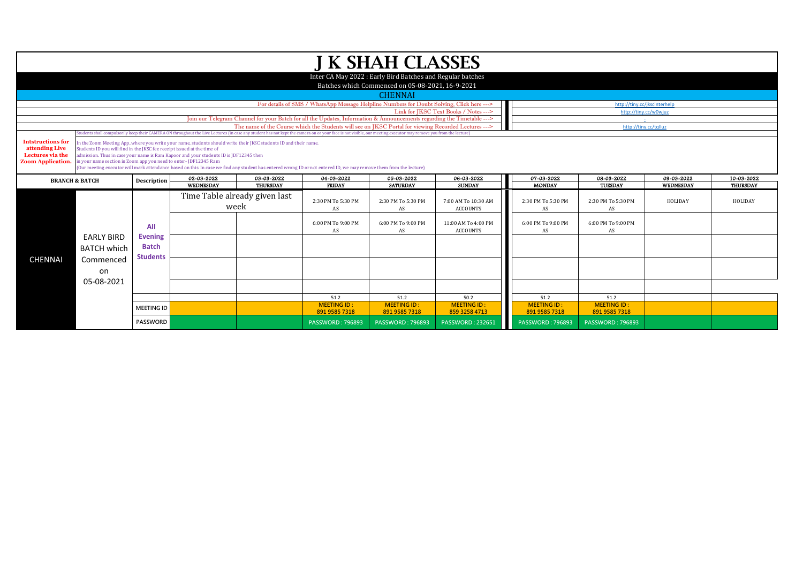|                                                                                           |                                                                                                                                             |                                |                                                                                                                                                                                                           |                               |                                                                                                                                                                                                                 | <b>J K SHAH CLASSES</b>                                                                                        |                                        |
|-------------------------------------------------------------------------------------------|---------------------------------------------------------------------------------------------------------------------------------------------|--------------------------------|-----------------------------------------------------------------------------------------------------------------------------------------------------------------------------------------------------------|-------------------------------|-----------------------------------------------------------------------------------------------------------------------------------------------------------------------------------------------------------------|----------------------------------------------------------------------------------------------------------------|----------------------------------------|
|                                                                                           |                                                                                                                                             |                                |                                                                                                                                                                                                           |                               |                                                                                                                                                                                                                 | Inter CA May 2022 : Early Bird Batches and Regular batches<br>Batches which Commenced on 05-08-2021, 16-9-2021 |                                        |
|                                                                                           |                                                                                                                                             |                                |                                                                                                                                                                                                           |                               |                                                                                                                                                                                                                 | <b>CHENNAI</b>                                                                                                 |                                        |
|                                                                                           |                                                                                                                                             |                                |                                                                                                                                                                                                           |                               | For details of SMS / WhatsApp Message Helpline Numbers for Doubt Solving, Click here --->                                                                                                                       |                                                                                                                |                                        |
|                                                                                           |                                                                                                                                             |                                |                                                                                                                                                                                                           |                               | Join our Telegram Channel for your Batch for all the Updates, Information & Announcements regarding the Timetable --->                                                                                          |                                                                                                                | Link for JKSC Text Books / Notes --->  |
|                                                                                           |                                                                                                                                             |                                |                                                                                                                                                                                                           |                               | The name of the Course which the Students will see on JKSC Portal for viewing Recorded Lectures --->                                                                                                            |                                                                                                                |                                        |
|                                                                                           |                                                                                                                                             |                                |                                                                                                                                                                                                           |                               | tudents shall compulsorily keep their CAMERA ON throughout the Live Lectures (in case any student has not kept the camera on or your face is not visible, our meeting executor may remove you from the lecture) |                                                                                                                |                                        |
| <b>Intstructions for</b><br>attending Live<br>Lectures via the<br><b>Zoom Application</b> | Students ID you will find in the JKSC fee receipt issued at the time of<br>in your name section in Zoom app you need to enter- JDF12345 Ram |                                | in the Zoom Meeting App, where you write your name, students should write their JKSC students ID and their name.<br>admission. Thus in case your name is Ram Kapoor and your students ID is JDF12345 then |                               | (Our meeting executor will mark attendance based on this. In case we find any student has entered wrong ID or not entered ID, we may remove them from the lecture)                                              |                                                                                                                |                                        |
|                                                                                           | <b>BRANCH &amp; BATCH</b>                                                                                                                   | Description                    | 02-03-2022                                                                                                                                                                                                | 03-03-2022                    | 04-03-2022                                                                                                                                                                                                      | 05-03-2022                                                                                                     | 06-03-2022                             |
|                                                                                           |                                                                                                                                             |                                | WEDNESDAY                                                                                                                                                                                                 | THURSDAY                      | <b>FRIDAY</b>                                                                                                                                                                                                   | <b>SATURDAY</b>                                                                                                | <b>SUNDAY</b>                          |
|                                                                                           |                                                                                                                                             |                                | week                                                                                                                                                                                                      | Time Table already given last | 2:30 PM To 5:30 PM<br>AS                                                                                                                                                                                        | 2:30 PM To 5:30 PM<br>AS                                                                                       | 7:00 AM To 10:30 AM<br><b>ACCOUNTS</b> |
|                                                                                           |                                                                                                                                             | All                            |                                                                                                                                                                                                           |                               | 6:00 PM To 9:00 PM<br>AS                                                                                                                                                                                        | 6:00 PM To 9:00 PM<br>AS                                                                                       | 11:00 AM To 4:00 PM<br><b>ACCOUNTS</b> |
|                                                                                           | <b>EARLY BIRD</b><br><b>BATCH which</b>                                                                                                     | <b>Evening</b><br><b>Batch</b> |                                                                                                                                                                                                           |                               |                                                                                                                                                                                                                 |                                                                                                                |                                        |
| <b>CHENNAI</b>                                                                            | Commenced<br>on                                                                                                                             | <b>Students</b>                |                                                                                                                                                                                                           |                               |                                                                                                                                                                                                                 |                                                                                                                |                                        |
|                                                                                           | 05-08-2021                                                                                                                                  |                                |                                                                                                                                                                                                           |                               |                                                                                                                                                                                                                 |                                                                                                                |                                        |
|                                                                                           |                                                                                                                                             |                                |                                                                                                                                                                                                           |                               | 51.2                                                                                                                                                                                                            | 51.2                                                                                                           | 50.2                                   |
|                                                                                           |                                                                                                                                             | <b>MEETING ID</b>              |                                                                                                                                                                                                           |                               | <b>MEETING ID</b>                                                                                                                                                                                               | <b>MEETING ID:</b>                                                                                             | <b>MEETING ID:</b>                     |
|                                                                                           |                                                                                                                                             |                                |                                                                                                                                                                                                           |                               | 891 9585 7318                                                                                                                                                                                                   | 891 9585 7318                                                                                                  | 859 3258 4713                          |
|                                                                                           |                                                                                                                                             | <b>PASSWORD</b>                |                                                                                                                                                                                                           |                               |                                                                                                                                                                                                                 |                                                                                                                | <b>PASSWORD: 232651</b>                |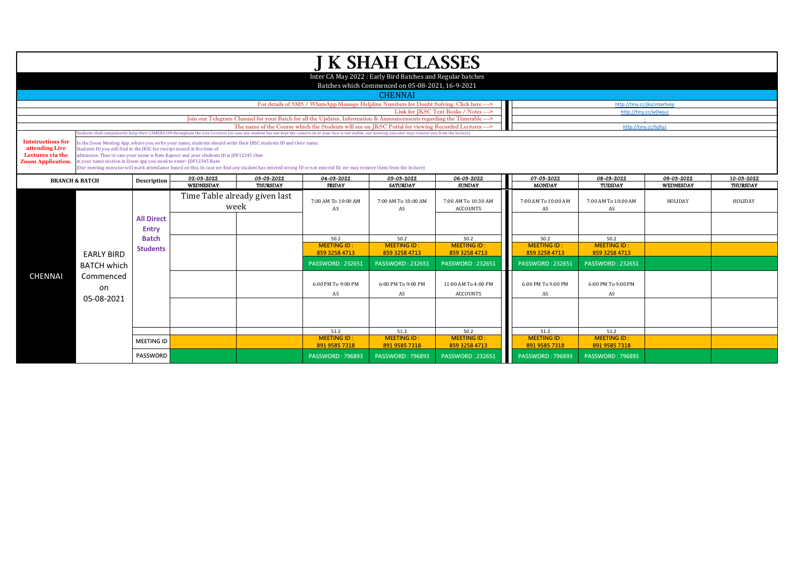|                                                                                            |                                                                                                                                                                                                                                                                                                                                                                                                                                                                                                                                                                                                                                                                                                                                                |                                   |                  |                                       |                                                                                                                        | <b>J K SHAH CLASSES</b>                                                                                        |                                        |                                     |                                     |            |            |  |
|--------------------------------------------------------------------------------------------|------------------------------------------------------------------------------------------------------------------------------------------------------------------------------------------------------------------------------------------------------------------------------------------------------------------------------------------------------------------------------------------------------------------------------------------------------------------------------------------------------------------------------------------------------------------------------------------------------------------------------------------------------------------------------------------------------------------------------------------------|-----------------------------------|------------------|---------------------------------------|------------------------------------------------------------------------------------------------------------------------|----------------------------------------------------------------------------------------------------------------|----------------------------------------|-------------------------------------|-------------------------------------|------------|------------|--|
|                                                                                            |                                                                                                                                                                                                                                                                                                                                                                                                                                                                                                                                                                                                                                                                                                                                                |                                   |                  |                                       |                                                                                                                        | Inter CA May 2022 : Early Bird Batches and Regular batches<br>Batches which Commenced on 05-08-2021, 16-9-2021 |                                        |                                     |                                     |            |            |  |
|                                                                                            |                                                                                                                                                                                                                                                                                                                                                                                                                                                                                                                                                                                                                                                                                                                                                |                                   |                  |                                       |                                                                                                                        | <b>CHENNAI</b>                                                                                                 |                                        |                                     |                                     |            |            |  |
|                                                                                            |                                                                                                                                                                                                                                                                                                                                                                                                                                                                                                                                                                                                                                                                                                                                                |                                   |                  |                                       | For details of SMS / WhatsApp Message Helpline Numbers for Doubt Solving, Click here --->                              |                                                                                                                |                                        |                                     | http://tiny.cc/jkscinterhelp        |            |            |  |
|                                                                                            |                                                                                                                                                                                                                                                                                                                                                                                                                                                                                                                                                                                                                                                                                                                                                |                                   |                  |                                       |                                                                                                                        |                                                                                                                | Link for JKSC Text Books / Notes --->  |                                     | http://tiny.cc/w0wjuz               |            |            |  |
|                                                                                            |                                                                                                                                                                                                                                                                                                                                                                                                                                                                                                                                                                                                                                                                                                                                                |                                   |                  |                                       | Join our Telegram Channel for your Batch for all the Updates, Information & Announcements regarding the Timetable ---> |                                                                                                                |                                        |                                     |                                     |            |            |  |
|                                                                                            |                                                                                                                                                                                                                                                                                                                                                                                                                                                                                                                                                                                                                                                                                                                                                |                                   |                  |                                       | The name of the Course which the Students will see on IKSC Portal for viewing Recorded Lectures --->                   |                                                                                                                |                                        |                                     | http://tinv.cc/talluz               |            |            |  |
| <b>Intstructions for</b><br>attending Live<br>Lectures via the<br><b>Zoom Application.</b> | udents shall compulsorily keep their CAMERA ON throughout the Live Lectures (in case any student has not kept the camera on or your face is not visible, our meeting executor may remove you from the lecture)<br>In the Zoom Meeting App, where you write your name, students should write their JKSC students ID and their name.<br>Students ID you will find in the IKSC fee receipt issued at the time of<br>dmission. Thus in case your name is Ram Kapoor and your students ID is JDF12345 then<br>in your name section in Zoom app you need to enter-JDF12345 Ram<br>(Our meeting executor will mark attendance based on this. In case we find any student has entered wrong ID or not entered ID, we may remove them from the lecture) |                                   |                  |                                       |                                                                                                                        |                                                                                                                |                                        |                                     |                                     |            |            |  |
|                                                                                            | <b>BRANCH &amp; BATCH</b>                                                                                                                                                                                                                                                                                                                                                                                                                                                                                                                                                                                                                                                                                                                      | Description                       | 02-03-2022       | 03-03-2022                            | 04-03-2022                                                                                                             | 05-03-2022                                                                                                     | 06-03-2022                             | 07-03-2022                          | 08-03-2022                          | 09-03-2022 | 10-03-2022 |  |
|                                                                                            |                                                                                                                                                                                                                                                                                                                                                                                                                                                                                                                                                                                                                                                                                                                                                |                                   | <b>WEDNESDAY</b> | THURSDAY                              | <b>FRIDAY</b>                                                                                                          | <b>SATURDAY</b>                                                                                                | <b>SUNDAY</b>                          | <b>MONDAY</b>                       | TUESDAY                             | WEDNESDAY  | THURSDAY   |  |
|                                                                                            |                                                                                                                                                                                                                                                                                                                                                                                                                                                                                                                                                                                                                                                                                                                                                |                                   |                  | Time Table already given last<br>week | 7:00 AM To 10:00 AM<br>AS                                                                                              | 7:00 AM To 10:00 AM<br>AS                                                                                      | 7:00 AM To 10:30 AM<br><b>ACCOUNTS</b> | 7:00 AM To 10:00 AM<br>AS           | 7:00 AM To 10:00 AM<br>AS           | HOLIDAY    | HOLIDAY    |  |
|                                                                                            |                                                                                                                                                                                                                                                                                                                                                                                                                                                                                                                                                                                                                                                                                                                                                | <b>All Direct</b><br><b>Entry</b> |                  |                                       |                                                                                                                        |                                                                                                                |                                        |                                     |                                     |            |            |  |
|                                                                                            |                                                                                                                                                                                                                                                                                                                                                                                                                                                                                                                                                                                                                                                                                                                                                | <b>Batch</b>                      |                  |                                       | 50.2<br><b>MEETING ID:</b>                                                                                             | 50.2<br><b>MEETING ID:</b>                                                                                     | 50.2                                   | 50.2                                | 50.2<br><b>MEETING ID:</b>          |            |            |  |
|                                                                                            | <b>EARLY BIRD</b>                                                                                                                                                                                                                                                                                                                                                                                                                                                                                                                                                                                                                                                                                                                              | <b>Students</b>                   |                  |                                       | 859 3258 4713                                                                                                          | 859 3258 4713                                                                                                  | <b>MEETING ID:</b><br>859 3258 4713    | <b>MEETING ID:</b><br>859 3258 4713 | 859 3258 4713                       |            |            |  |
|                                                                                            | <b>BATCH which</b>                                                                                                                                                                                                                                                                                                                                                                                                                                                                                                                                                                                                                                                                                                                             |                                   |                  |                                       | <b>PASSWORD: 232651</b>                                                                                                | <b>PASSWORD: 232651</b>                                                                                        | <b>PASSWORD: 232651</b>                | <b>PASSWORD: 232651</b>             | <b>PASSWORD: 232651</b>             |            |            |  |
| <b>CHENNAI</b>                                                                             | Commenced<br>on<br>05-08-2021                                                                                                                                                                                                                                                                                                                                                                                                                                                                                                                                                                                                                                                                                                                  |                                   |                  |                                       | 6:00 PM To 9:00 PM<br>AS                                                                                               | 6:00 PM To 9:00 PM<br>AS                                                                                       | 11:00 AM To 4:00 PM<br><b>ACCOUNTS</b> | 6:00 PM To 9:00 PM<br>AS            | 6:00 PM To 9:00 PM<br>AS            |            |            |  |
|                                                                                            |                                                                                                                                                                                                                                                                                                                                                                                                                                                                                                                                                                                                                                                                                                                                                |                                   |                  |                                       |                                                                                                                        |                                                                                                                |                                        |                                     |                                     |            |            |  |
|                                                                                            |                                                                                                                                                                                                                                                                                                                                                                                                                                                                                                                                                                                                                                                                                                                                                |                                   |                  |                                       | 51.2                                                                                                                   | 51.2                                                                                                           | 50.2                                   | 51.2                                | 51.2                                |            |            |  |
|                                                                                            |                                                                                                                                                                                                                                                                                                                                                                                                                                                                                                                                                                                                                                                                                                                                                | <b>MEETING ID</b>                 |                  |                                       | <b>MEETING ID:</b><br>891 9585 7318                                                                                    | <b>MEETING ID:</b><br>891 9585 7318                                                                            | <b>MEETING ID:</b><br>859 3258 4713    | <b>MEETING ID:</b><br>891 9585 7318 | <b>MEETING ID:</b><br>891 9585 7318 |            |            |  |
|                                                                                            |                                                                                                                                                                                                                                                                                                                                                                                                                                                                                                                                                                                                                                                                                                                                                | <b>PASSWORD</b>                   |                  |                                       | <b>PASSWORD: 796893</b>                                                                                                | <b>PASSWORD: 796893</b>                                                                                        | <b>PASSWORD: 232651</b>                | <b>PASSWORD: 796893</b>             | <b>PASSWORD: 796893</b>             |            |            |  |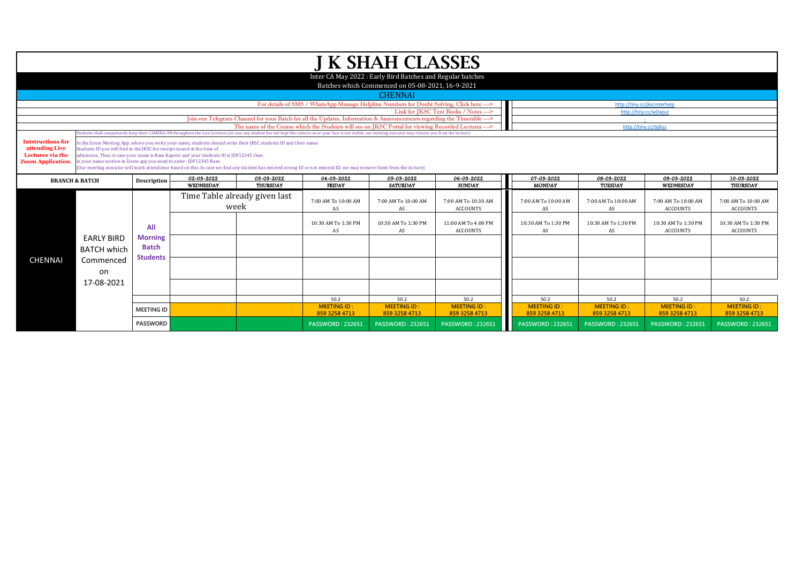|                                    |                                                                         |                   |                                                                                                                  |                               |                                                                                                                                                                                                                  | <b>J K SHAH CLASSES</b>                                                                                        |                                        |                     |                              |                         |                                        |
|------------------------------------|-------------------------------------------------------------------------|-------------------|------------------------------------------------------------------------------------------------------------------|-------------------------------|------------------------------------------------------------------------------------------------------------------------------------------------------------------------------------------------------------------|----------------------------------------------------------------------------------------------------------------|----------------------------------------|---------------------|------------------------------|-------------------------|----------------------------------------|
|                                    |                                                                         |                   |                                                                                                                  |                               |                                                                                                                                                                                                                  |                                                                                                                |                                        |                     |                              |                         |                                        |
|                                    |                                                                         |                   |                                                                                                                  |                               |                                                                                                                                                                                                                  | Inter CA May 2022 : Early Bird Batches and Regular batches<br>Batches which Commenced on 05-08-2021, 16-9-2021 |                                        |                     |                              |                         |                                        |
|                                    |                                                                         |                   |                                                                                                                  |                               |                                                                                                                                                                                                                  | <b>CHENNAI</b>                                                                                                 |                                        |                     |                              |                         |                                        |
|                                    |                                                                         |                   |                                                                                                                  |                               | For details of SMS / WhatsApp Message Helpline Numbers for Doubt Solving, Click here --->                                                                                                                        |                                                                                                                |                                        |                     | http://tiny.cc/jkscinterhelp |                         |                                        |
|                                    |                                                                         |                   |                                                                                                                  |                               |                                                                                                                                                                                                                  |                                                                                                                | Link for IKSC Text Books / Notes --->  |                     |                              | http://tinv.cc/w0wiuz   |                                        |
|                                    |                                                                         |                   |                                                                                                                  |                               | Join our Telegram Channel for your Batch for all the Updates, Information & Announcements regarding the Timetable --->                                                                                           |                                                                                                                |                                        |                     |                              |                         |                                        |
|                                    |                                                                         |                   |                                                                                                                  |                               | The name of the Course which the Students will see on IKSC Portal for viewing Recorded Lectures --->                                                                                                             |                                                                                                                |                                        |                     |                              | http://tiny.cc/tqlluz   |                                        |
|                                    |                                                                         |                   |                                                                                                                  |                               | Students shall compulsorily keep their CAMERA ON throughout the Live Lectures (in case any student has not kept the camera on or your face is not visible, our meeting executor may remove you from the lecture) |                                                                                                                |                                        |                     |                              |                         |                                        |
| <b>Intstructions for</b>           |                                                                         |                   | In the Zoom Meeting App, where you write your name, students should write their JKSC students ID and their name. |                               |                                                                                                                                                                                                                  |                                                                                                                |                                        |                     |                              |                         |                                        |
| attending Live<br>Lectures via the | Students ID you will find in the JKSC fee receipt issued at the time of |                   | admission. Thus in case your name is Ram Kapoor and your students ID is JDF12345 then                            |                               |                                                                                                                                                                                                                  |                                                                                                                |                                        |                     |                              |                         |                                        |
| <b>Zoom Application.</b>           | in your name section in Zoom app you need to enter-JDF12345 Ram         |                   |                                                                                                                  |                               |                                                                                                                                                                                                                  |                                                                                                                |                                        |                     |                              |                         |                                        |
|                                    |                                                                         |                   |                                                                                                                  |                               | (Our meeting executor will mark attendance based on this. In case we find any student has entered wrong ID or not entered ID, we may remove them from the lecture)                                               |                                                                                                                |                                        |                     |                              |                         |                                        |
|                                    |                                                                         |                   | 02-03-2022                                                                                                       | 03-03-2022                    | 04-03-2022                                                                                                                                                                                                       | 05-03-2022                                                                                                     | 06-03-2022                             | 07-03-2022          | 08-03-2022                   | 09-03-2022              | 10-03-2022                             |
| <b>BRANCH &amp; BATCH</b>          |                                                                         | Description       | <b>WEDNESDAY</b>                                                                                                 | <b>THURSDAY</b>               | <b>FRIDAY</b>                                                                                                                                                                                                    | <b>SATURDAY</b>                                                                                                | <b>SUNDAY</b>                          | <b>MONDAY</b>       | TUESDAY                      | WEDNESDAY               | <b>THURSDAY</b>                        |
|                                    |                                                                         |                   |                                                                                                                  | Time Table already given last |                                                                                                                                                                                                                  |                                                                                                                |                                        |                     |                              |                         |                                        |
|                                    |                                                                         |                   |                                                                                                                  |                               | 7:00 AM To 10:00 AM                                                                                                                                                                                              | 7:00 AM To 10:00 AM                                                                                            | 7:00 AM To 10:30 AM                    | 7:00 AM To 10:00 AM | 7:00 AM To 10:00 AM          | 7:00 AM To 10:00 AM     | 7:00 AM To 10:00 AM                    |
|                                    |                                                                         |                   | week                                                                                                             |                               | AS                                                                                                                                                                                                               | AS                                                                                                             | <b>ACCOUNTS</b>                        | AS                  | AS                           | <b>ACCOUNTS</b>         | <b>ACCOUNTS</b>                        |
|                                    |                                                                         |                   |                                                                                                                  |                               |                                                                                                                                                                                                                  |                                                                                                                |                                        |                     |                              |                         |                                        |
|                                    |                                                                         | All               |                                                                                                                  |                               | 10:30 AM To 1:30 PM                                                                                                                                                                                              | 10:30 AM To 1:30 PM                                                                                            | 11:00 AM To 4:00 PM<br><b>ACCOUNTS</b> | 10:30 AM To 1:30 PM | 10:30 AM To 1:30 PM          | 10:30 AM To 1:30 PM     | 10:30 AM To 1:30 PM<br><b>ACCOUNTS</b> |
|                                    | <b>EARLY BIRD</b>                                                       | <b>Morning</b>    |                                                                                                                  |                               | AS                                                                                                                                                                                                               | AS                                                                                                             |                                        | AS                  | AS                           | <b>ACCOUNTS</b>         |                                        |
|                                    |                                                                         |                   |                                                                                                                  |                               |                                                                                                                                                                                                                  |                                                                                                                |                                        |                     |                              |                         |                                        |
|                                    | <b>BATCH which</b>                                                      | <b>Batch</b>      |                                                                                                                  |                               |                                                                                                                                                                                                                  |                                                                                                                |                                        |                     |                              |                         |                                        |
| <b>CHENNAI</b>                     | Commenced                                                               | <b>Students</b>   |                                                                                                                  |                               |                                                                                                                                                                                                                  |                                                                                                                |                                        |                     |                              |                         |                                        |
|                                    |                                                                         |                   |                                                                                                                  |                               |                                                                                                                                                                                                                  |                                                                                                                |                                        |                     |                              |                         |                                        |
|                                    | on                                                                      |                   |                                                                                                                  |                               |                                                                                                                                                                                                                  |                                                                                                                |                                        |                     |                              |                         |                                        |
|                                    | 17-08-2021                                                              |                   |                                                                                                                  |                               |                                                                                                                                                                                                                  |                                                                                                                |                                        |                     |                              |                         |                                        |
|                                    |                                                                         |                   |                                                                                                                  |                               |                                                                                                                                                                                                                  |                                                                                                                |                                        |                     |                              |                         |                                        |
|                                    |                                                                         |                   |                                                                                                                  |                               | 50.2                                                                                                                                                                                                             | 50.2                                                                                                           | 50.2                                   | 50.2                | 50.2                         | 50.2                    | 50.2                                   |
|                                    |                                                                         | <b>MEETING ID</b> |                                                                                                                  |                               | <b>MEETING ID:</b>                                                                                                                                                                                               | <b>MEETING ID:</b>                                                                                             | <b>MEETING ID:</b>                     | <b>MEETING ID:</b>  | <b>MEETING ID:</b>           | <b>MEETING ID:</b>      | <b>MEETING ID:</b>                     |
|                                    |                                                                         |                   |                                                                                                                  |                               | 859 3258 4713                                                                                                                                                                                                    | 859 3258 4713                                                                                                  | 859 3258 4713                          | 859 3258 4713       | 859 3258 4713                | 859 3258 4713           | 859 3258 4713                          |
|                                    |                                                                         | PASSWORD          |                                                                                                                  |                               |                                                                                                                                                                                                                  |                                                                                                                |                                        |                     | <b>PASSWORD: 232651</b>      | <b>PASSWORD: 232651</b> |                                        |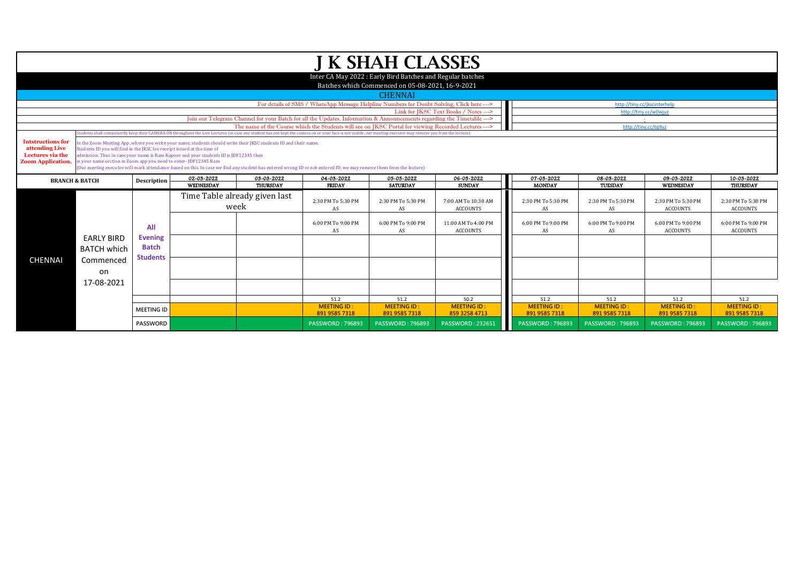|                                            |                                                                         |                   |                                                                                                                  |                               |                                                                                                                                                                                                                  | <b>J K SHAH CLASSES</b>                                    |                                        |                                          |                              |                                       |                                       |
|--------------------------------------------|-------------------------------------------------------------------------|-------------------|------------------------------------------------------------------------------------------------------------------|-------------------------------|------------------------------------------------------------------------------------------------------------------------------------------------------------------------------------------------------------------|------------------------------------------------------------|----------------------------------------|------------------------------------------|------------------------------|---------------------------------------|---------------------------------------|
|                                            |                                                                         |                   |                                                                                                                  |                               |                                                                                                                                                                                                                  | Inter CA May 2022 : Early Bird Batches and Regular batches |                                        |                                          |                              |                                       |                                       |
|                                            |                                                                         |                   |                                                                                                                  |                               |                                                                                                                                                                                                                  | Batches which Commenced on 05-08-2021, 16-9-2021           |                                        |                                          |                              |                                       |                                       |
|                                            |                                                                         |                   |                                                                                                                  |                               |                                                                                                                                                                                                                  | <b>CHENNAI</b>                                             |                                        |                                          |                              |                                       |                                       |
|                                            |                                                                         |                   |                                                                                                                  |                               | For details of SMS / WhatsApp Message Helpline Numbers for Doubt Solving, Click here --->                                                                                                                        |                                                            |                                        |                                          | http://tiny.cc/jkscinterhelp |                                       |                                       |
|                                            |                                                                         |                   |                                                                                                                  |                               |                                                                                                                                                                                                                  |                                                            | Link for IKSC Text Books / Notes --->  |                                          | http://tiny.cc/w0wiuz        |                                       |                                       |
|                                            |                                                                         |                   |                                                                                                                  |                               | Join our Telegram Channel for your Batch for all the Updates, Information & Announcements regarding the Timetable --->                                                                                           |                                                            |                                        |                                          |                              |                                       |                                       |
|                                            |                                                                         |                   |                                                                                                                  |                               | The name of the Course which the Students will see on IKSC Portal for viewing Recorded Lectures --->                                                                                                             |                                                            |                                        |                                          | http://tiny.cc/tqlluz        |                                       |                                       |
|                                            |                                                                         |                   |                                                                                                                  |                               | Students shall compulsorily keep their CAMERA ON throughout the Live Lectures (in case any student has not kept the camera on or your face is not visible, our meeting executor may remove you from the lecture) |                                                            |                                        |                                          |                              |                                       |                                       |
| <b>Intstructions for</b><br>attending Live | Students ID you will find in the JKSC fee receipt issued at the time of |                   | In the Zoom Meeting App, where you write your name, students should write their JKSC students ID and their name. |                               |                                                                                                                                                                                                                  |                                                            |                                        |                                          |                              |                                       |                                       |
| Lectures via the                           |                                                                         |                   | admission. Thus in case your name is Ram Kapoor and your students ID is JDF12345 then                            |                               |                                                                                                                                                                                                                  |                                                            |                                        |                                          |                              |                                       |                                       |
| <b>Zoom Application.</b>                   | in your name section in Zoom app you need to enter- JDF12345 Ram        |                   |                                                                                                                  |                               |                                                                                                                                                                                                                  |                                                            |                                        |                                          |                              |                                       |                                       |
|                                            |                                                                         |                   |                                                                                                                  |                               | (Our meeting executor will mark attendance based on this. In case we find any student has entered wrong ID or not entered ID, we may remove them from the lecture)                                               |                                                            |                                        |                                          |                              |                                       |                                       |
|                                            | <b>BRANCH &amp; BATCH</b>                                               | Description       | 02-03-2022                                                                                                       | 03-03-2022                    | 04-03-2022                                                                                                                                                                                                       | 05-03-2022                                                 | 06-03-2022                             | 07-03-2022                               | 08-03-2022                   | 09-03-2022                            | 10-03-2022                            |
|                                            |                                                                         |                   | WEDNESDAY                                                                                                        | <b>THURSDAY</b>               | <b>FRIDAY</b>                                                                                                                                                                                                    | <b>SATURDAY</b>                                            | <b>SUNDAY</b>                          | <b>MONDAY</b>                            | TUESDAY                      | WEDNESDAY                             | <b>THURSDAY</b>                       |
|                                            |                                                                         |                   |                                                                                                                  | Time Table already given last |                                                                                                                                                                                                                  |                                                            |                                        |                                          |                              |                                       |                                       |
|                                            |                                                                         |                   | week                                                                                                             |                               | 2:30 PM To 5:30 PM<br>AS                                                                                                                                                                                         | 2:30 PM To 5:30 PM<br>AS                                   | 7:00 AM To 10:30 AM<br><b>ACCOUNTS</b> | 2:30 PM To 5:30 PM<br>AS                 | 2:30 PM To 5:30 PM<br>AS     | 2:30 PM To 5:30 PM<br><b>ACCOUNTS</b> | 2:30 PM To 5:30 PM<br><b>ACCOUNTS</b> |
|                                            |                                                                         |                   |                                                                                                                  |                               |                                                                                                                                                                                                                  |                                                            |                                        |                                          |                              |                                       |                                       |
|                                            |                                                                         |                   |                                                                                                                  |                               | 6:00 PM To 9:00 PM                                                                                                                                                                                               | 6:00 PM To 9:00 PM                                         | 11:00 AM To 4:00 PM                    | 6:00 PM To 9:00 PM                       | 6:00 PM To 9:00 PM           | 6:00 PM To 9:00 PM                    | 6:00 PM To 9:00 PM                    |
|                                            |                                                                         | All               |                                                                                                                  |                               | AS                                                                                                                                                                                                               | AS                                                         | <b>ACCOUNTS</b>                        | AS                                       | AS                           | <b>ACCOUNTS</b>                       | <b>ACCOUNTS</b>                       |
|                                            | <b>EARLY BIRD</b>                                                       | <b>Evening</b>    |                                                                                                                  |                               |                                                                                                                                                                                                                  |                                                            |                                        |                                          |                              |                                       |                                       |
|                                            | <b>BATCH which</b>                                                      | <b>Batch</b>      |                                                                                                                  |                               |                                                                                                                                                                                                                  |                                                            |                                        |                                          |                              |                                       |                                       |
|                                            |                                                                         |                   |                                                                                                                  |                               |                                                                                                                                                                                                                  |                                                            |                                        |                                          |                              |                                       |                                       |
|                                            |                                                                         | <b>Students</b>   |                                                                                                                  |                               |                                                                                                                                                                                                                  |                                                            |                                        |                                          |                              |                                       |                                       |
| <b>CHENNAI</b>                             | Commenced                                                               |                   |                                                                                                                  |                               |                                                                                                                                                                                                                  |                                                            |                                        |                                          |                              |                                       |                                       |
|                                            | on                                                                      |                   |                                                                                                                  |                               |                                                                                                                                                                                                                  |                                                            |                                        |                                          |                              |                                       |                                       |
|                                            | 17-08-2021                                                              |                   |                                                                                                                  |                               |                                                                                                                                                                                                                  |                                                            |                                        |                                          |                              |                                       |                                       |
|                                            |                                                                         |                   |                                                                                                                  |                               |                                                                                                                                                                                                                  |                                                            |                                        |                                          |                              |                                       |                                       |
|                                            |                                                                         |                   |                                                                                                                  |                               | 51.2                                                                                                                                                                                                             | 51.2                                                       | 50.2                                   | 51.2                                     | 51.2                         | 51.2                                  | 51.2                                  |
|                                            |                                                                         | <b>MEETING ID</b> |                                                                                                                  |                               | <b>MEETING ID:</b>                                                                                                                                                                                               | <b>MEETING ID:</b>                                         | <b>MEETING ID:</b>                     | <b>MEETING ID:</b>                       | <b>MEETING ID:</b>           | <b>MEETING ID:</b>                    | <b>MEETING ID:</b>                    |
|                                            |                                                                         |                   |                                                                                                                  |                               | 891 9585 7318                                                                                                                                                                                                    | 891 9585 7318                                              | 859 3258 4713                          | 891 9585 7318<br><b>PASSWORD: 796893</b> | 891 9585 7318                | 891 9585 7318                         | 891 9585 7318                         |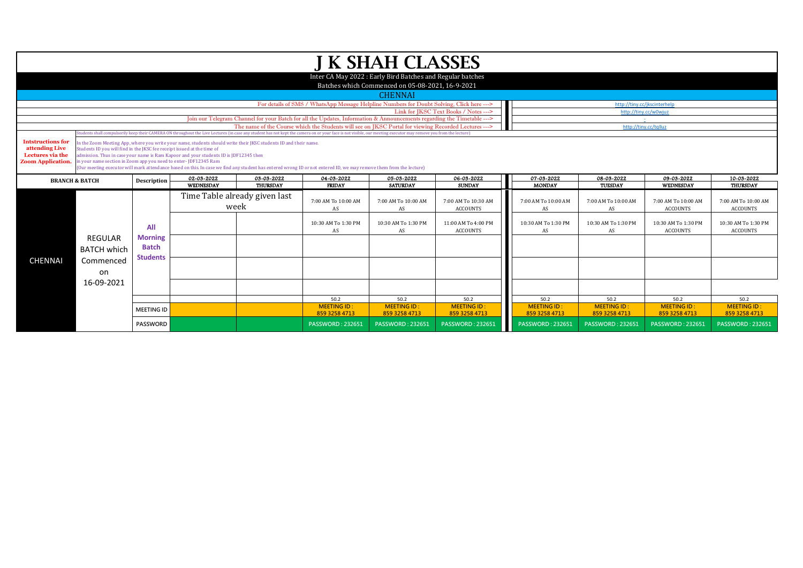|                                    |                                                                         |                   |                                                                                                                  |                               |                                                                                                                                                                                                                                | J K SHAH CLASSES                                           |                                       |                                     |                                     |                                     |                                     |
|------------------------------------|-------------------------------------------------------------------------|-------------------|------------------------------------------------------------------------------------------------------------------|-------------------------------|--------------------------------------------------------------------------------------------------------------------------------------------------------------------------------------------------------------------------------|------------------------------------------------------------|---------------------------------------|-------------------------------------|-------------------------------------|-------------------------------------|-------------------------------------|
|                                    |                                                                         |                   |                                                                                                                  |                               |                                                                                                                                                                                                                                | Inter CA May 2022 : Early Bird Batches and Regular batches |                                       |                                     |                                     |                                     |                                     |
|                                    |                                                                         |                   |                                                                                                                  |                               |                                                                                                                                                                                                                                | Batches which Commenced on 05-08-2021, 16-9-2021           |                                       |                                     |                                     |                                     |                                     |
|                                    |                                                                         |                   |                                                                                                                  |                               |                                                                                                                                                                                                                                | <b>CHENNAI</b>                                             |                                       |                                     |                                     |                                     |                                     |
|                                    |                                                                         |                   |                                                                                                                  |                               | For details of SMS / WhatsApp Message Helpline Numbers for Doubt Solving, Click here --->                                                                                                                                      |                                                            |                                       |                                     |                                     | http://tiny.cc/jkscinterhelp        |                                     |
|                                    |                                                                         |                   |                                                                                                                  |                               |                                                                                                                                                                                                                                |                                                            | Link for JKSC Text Books / Notes ---> |                                     |                                     | http://tiny.cc/w0wjuz               |                                     |
|                                    |                                                                         |                   |                                                                                                                  |                               | Join our Telegram Channel for your Batch for all the Updates, Information & Announcements regarding the Timetable ---><br>The name of the Course which the Students will see on IKSC Portal for viewing Recorded Lectures ---> |                                                            |                                       |                                     |                                     | http://tiny.cc/tqlluz               |                                     |
|                                    |                                                                         |                   |                                                                                                                  |                               | Students shall compulsorily keep their CAMERA ON throughout the Live Lectures (in case any student has not kept the camera on or your face is not visible, our meeting executor may remove you from the lecture)               |                                                            |                                       |                                     |                                     |                                     |                                     |
| <b>Intstructions for</b>           |                                                                         |                   | In the Zoom Meeting App, where you write your name, students should write their JKSC students ID and their name. |                               |                                                                                                                                                                                                                                |                                                            |                                       |                                     |                                     |                                     |                                     |
| attending Live<br>Lectures via the | Students ID you will find in the JKSC fee receipt issued at the time of |                   | admission. Thus in case your name is Ram Kapoor and your students ID is JDF12345 then                            |                               |                                                                                                                                                                                                                                |                                                            |                                       |                                     |                                     |                                     |                                     |
| <b>Zoom Application.</b>           | in your name section in Zoom app you need to enter-JDF12345 Ram         |                   |                                                                                                                  |                               |                                                                                                                                                                                                                                |                                                            |                                       |                                     |                                     |                                     |                                     |
|                                    |                                                                         |                   |                                                                                                                  |                               | (Our meeting executor will mark attendance based on this. In case we find any student has entered wrong ID or not entered ID, we may remove them from the lecture)                                                             |                                                            |                                       |                                     |                                     |                                     |                                     |
| <b>BRANCH &amp; BATCH</b>          |                                                                         | Description       | 02-03-2022                                                                                                       | 03-03-2022                    | 04-03-2022                                                                                                                                                                                                                     | 05-03-2022                                                 | 06-03-2022                            | 07-03-2022                          | 08-03-2022                          | 09-03-2022                          | 10-03-2022                          |
|                                    |                                                                         |                   | <b>WEDNESDAY</b>                                                                                                 | <b>THURSDAY</b>               | <b>FRIDAY</b>                                                                                                                                                                                                                  | <b>SATURDAY</b>                                            | <b>SUNDAY</b>                         | <b>MONDAY</b>                       | TUESDAY                             | WEDNESDAY                           | THURSDAY                            |
|                                    |                                                                         |                   |                                                                                                                  | Time Table already given last | 7:00 AM To 10:00 AM                                                                                                                                                                                                            | 7:00 AM To 10:00 AM                                        | 7:00 AM To 10:30 AM                   | 7:00 AM To 10:00 AM                 | 7:00 AM To 10:00 AM                 | 7:00 AM To 10:00 AM                 | 7:00 AM To 10:00 AM                 |
|                                    |                                                                         |                   | week                                                                                                             |                               | AS                                                                                                                                                                                                                             | AS                                                         | <b>ACCOUNTS</b>                       | AS                                  | AS                                  | <b>ACCOUNTS</b>                     | <b>ACCOUNTS</b>                     |
|                                    |                                                                         |                   |                                                                                                                  |                               |                                                                                                                                                                                                                                |                                                            |                                       |                                     |                                     |                                     |                                     |
|                                    |                                                                         | All               |                                                                                                                  |                               | 10:30 AM To 1:30 PM                                                                                                                                                                                                            | 10:30 AM To 1:30 PM                                        | 11:00 AM To 4:00 PM                   | 10:30 AM To 1:30 PM                 | 10:30 AM To 1:30 PM                 | 10:30 AM To 1:30 PM                 | 10:30 AM To 1:30 PM                 |
|                                    |                                                                         | <b>Morning</b>    |                                                                                                                  |                               | AS                                                                                                                                                                                                                             | AS                                                         | <b>ACCOUNTS</b>                       | AS                                  | AS                                  | <b>ACCOUNTS</b>                     | <b>ACCOUNTS</b>                     |
|                                    | <b>REGULAR</b>                                                          |                   |                                                                                                                  |                               |                                                                                                                                                                                                                                |                                                            |                                       |                                     |                                     |                                     |                                     |
|                                    | <b>BATCH which</b>                                                      | <b>Batch</b>      |                                                                                                                  |                               |                                                                                                                                                                                                                                |                                                            |                                       |                                     |                                     |                                     |                                     |
| <b>CHENNAI</b>                     | Commenced                                                               | <b>Students</b>   |                                                                                                                  |                               |                                                                                                                                                                                                                                |                                                            |                                       |                                     |                                     |                                     |                                     |
|                                    | on                                                                      |                   |                                                                                                                  |                               |                                                                                                                                                                                                                                |                                                            |                                       |                                     |                                     |                                     |                                     |
|                                    | 16-09-2021                                                              |                   |                                                                                                                  |                               |                                                                                                                                                                                                                                |                                                            |                                       |                                     |                                     |                                     |                                     |
|                                    |                                                                         |                   |                                                                                                                  |                               |                                                                                                                                                                                                                                |                                                            |                                       |                                     |                                     |                                     |                                     |
|                                    |                                                                         |                   |                                                                                                                  |                               | 50.2                                                                                                                                                                                                                           | 50.2                                                       | 50.2                                  | 50.2                                | 50.2                                | 50.2                                | 50.2                                |
|                                    |                                                                         | <b>MEETING ID</b> |                                                                                                                  |                               | <b>MEETING ID:</b><br>859 3258 4713                                                                                                                                                                                            | <b>MEETING ID:</b><br>859 3258 4713                        | <b>MEETING ID:</b><br>859 3258 4713   | <b>MEETING ID:</b><br>859 3258 4713 | <b>MEETING ID:</b><br>859 3258 4713 | <b>MEETING ID:</b><br>859 3258 4713 | <b>MEETING ID:</b><br>859 3258 4713 |
|                                    |                                                                         | PASSWORD          |                                                                                                                  |                               | <b>PASSWORD: 232651</b>                                                                                                                                                                                                        | <b>PASSWORD: 232651</b>                                    | <b>PASSWORD: 232651</b>               | <b>PASSWORD: 232651</b>             | <b>PASSWORD: 232651</b>             | <b>PASSWORD: 232651</b>             | <b>PASSWORD: 232651</b>             |
|                                    |                                                                         |                   |                                                                                                                  |                               |                                                                                                                                                                                                                                |                                                            |                                       |                                     |                                     |                                     |                                     |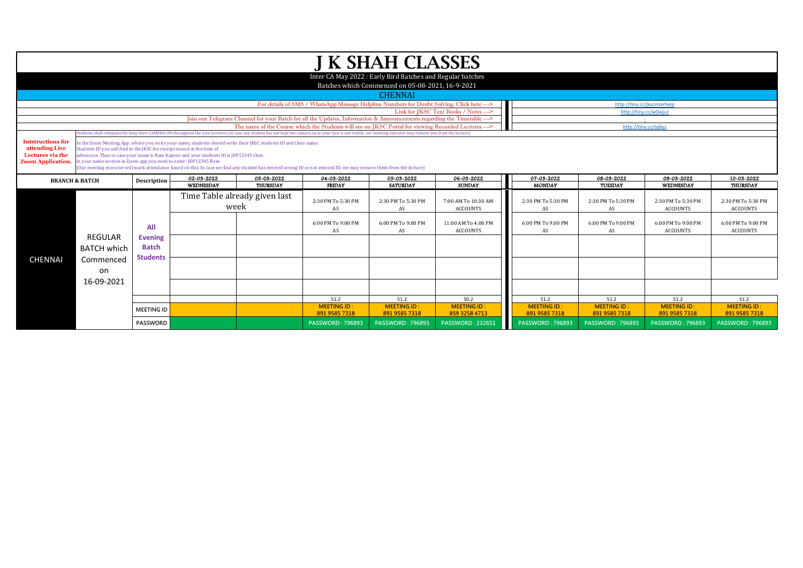|                                                                                            |                                                                                                                                             |                                |                                                                                                                                                                                                           |                 |                                                                                                                                                                                                                                                                                                                         | <b>J K SHAH CLASSES</b>                                                                                        |                                        |
|--------------------------------------------------------------------------------------------|---------------------------------------------------------------------------------------------------------------------------------------------|--------------------------------|-----------------------------------------------------------------------------------------------------------------------------------------------------------------------------------------------------------|-----------------|-------------------------------------------------------------------------------------------------------------------------------------------------------------------------------------------------------------------------------------------------------------------------------------------------------------------------|----------------------------------------------------------------------------------------------------------------|----------------------------------------|
|                                                                                            |                                                                                                                                             |                                |                                                                                                                                                                                                           |                 |                                                                                                                                                                                                                                                                                                                         | Inter CA May 2022 : Early Bird Batches and Regular batches<br>Batches which Commenced on 05-08-2021, 16-9-2021 |                                        |
|                                                                                            |                                                                                                                                             |                                |                                                                                                                                                                                                           |                 |                                                                                                                                                                                                                                                                                                                         | <b>CHENNAI</b>                                                                                                 |                                        |
|                                                                                            |                                                                                                                                             |                                |                                                                                                                                                                                                           |                 | For details of SMS / WhatsApp Message Helpline Numbers for Doubt Solving, Click here --->                                                                                                                                                                                                                               |                                                                                                                |                                        |
|                                                                                            |                                                                                                                                             |                                |                                                                                                                                                                                                           |                 |                                                                                                                                                                                                                                                                                                                         |                                                                                                                | Link for JKSC Text Books / Notes --->  |
|                                                                                            |                                                                                                                                             |                                |                                                                                                                                                                                                           |                 | Join our Telegram Channel for your Batch for all the Updates, Information & Announcements regarding the Timetable --->                                                                                                                                                                                                  |                                                                                                                |                                        |
|                                                                                            |                                                                                                                                             |                                |                                                                                                                                                                                                           |                 | The name of the Course which the Students will see on IKSC Portal for viewing Recorded Lectures ---><br>tudents shall compulsorily keep their CAMERA ON throughout the Live Lectures (in case any student has not kept the camera on or your face is not visible, our meeting executor may remove you from the lecture) |                                                                                                                |                                        |
| <b>Intstructions for</b><br>attending Live<br>Lectures via the<br><b>Zoom Application.</b> | Students ID you will find in the JKSC fee receipt issued at the time of<br>in your name section in Zoom app you need to enter- JDF12345 Ram |                                | in the Zoom Meeting App, where you write your name, students should write their JKSC students ID and their name.<br>admission. Thus in case your name is Ram Kapoor and your students ID is JDF12345 then |                 |                                                                                                                                                                                                                                                                                                                         |                                                                                                                |                                        |
|                                                                                            |                                                                                                                                             |                                | 02-03-2022                                                                                                                                                                                                | 03-03-2022      | (Our meeting executor will mark attendance based on this. In case we find any student has entered wrong ID or not entered ID, we may remove them from the lecture)<br>04-03-2022                                                                                                                                        | 05-03-2022                                                                                                     | 06-03-2022                             |
|                                                                                            | <b>BRANCH &amp; BATCH</b>                                                                                                                   | Description                    | WEDNESDAY                                                                                                                                                                                                 | <b>THURSDAY</b> | <b>FRIDAY</b>                                                                                                                                                                                                                                                                                                           | <b>SATURDAY</b>                                                                                                | <b>SUNDAY</b>                          |
|                                                                                            |                                                                                                                                             |                                | Time Table already given last<br>week                                                                                                                                                                     |                 | 2:30 PM To 5:30 PM<br>AS                                                                                                                                                                                                                                                                                                | 2:30 PM To 5:30 PM<br>AS                                                                                       | 7:00 AM To 10:30 AM<br><b>ACCOUNTS</b> |
|                                                                                            |                                                                                                                                             | All                            |                                                                                                                                                                                                           |                 | 6:00 PM To 9:00 PM<br>AS                                                                                                                                                                                                                                                                                                | 6:00 PM To 9:00 PM<br>AS                                                                                       | 11:00 AM To 4:00 PM<br><b>ACCOUNTS</b> |
|                                                                                            | REGULAR<br><b>BATCH which</b>                                                                                                               | <b>Evening</b><br><b>Batch</b> |                                                                                                                                                                                                           |                 |                                                                                                                                                                                                                                                                                                                         |                                                                                                                |                                        |
| <b>CHENNAI</b>                                                                             | Commenced<br>on                                                                                                                             | <b>Students</b>                |                                                                                                                                                                                                           |                 |                                                                                                                                                                                                                                                                                                                         |                                                                                                                |                                        |
|                                                                                            | 16-09-2021                                                                                                                                  |                                |                                                                                                                                                                                                           |                 |                                                                                                                                                                                                                                                                                                                         |                                                                                                                |                                        |
|                                                                                            |                                                                                                                                             |                                |                                                                                                                                                                                                           |                 | 51.2<br><b>MEETING ID:</b>                                                                                                                                                                                                                                                                                              | 51.2<br><b>MEETING ID:</b>                                                                                     | 50.2<br><b>MEETING ID:</b>             |
|                                                                                            |                                                                                                                                             | <b>MEETING ID</b>              |                                                                                                                                                                                                           |                 |                                                                                                                                                                                                                                                                                                                         |                                                                                                                |                                        |
|                                                                                            |                                                                                                                                             |                                |                                                                                                                                                                                                           |                 | 891 9585 7318                                                                                                                                                                                                                                                                                                           | 891 9585 7318                                                                                                  | 859 3258 4713                          |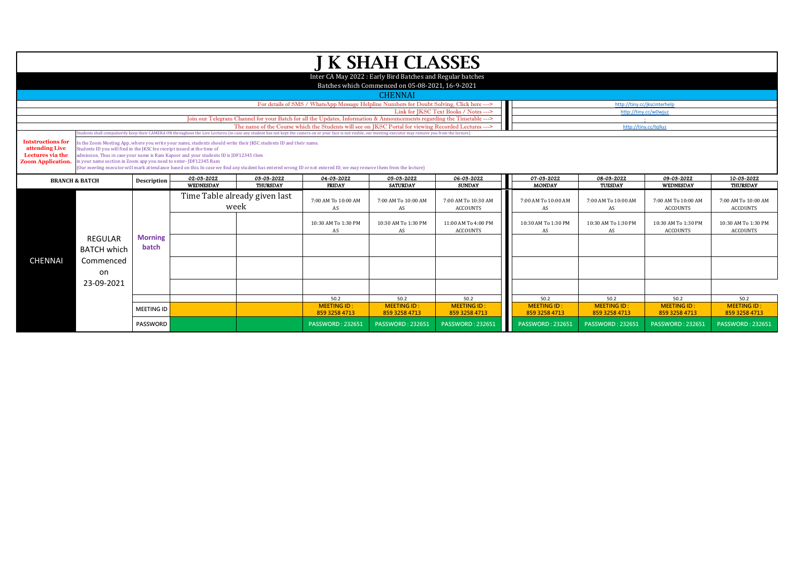|                                    |                                                                                                                                                                                                                                                         |                   |                                                                                                                  |                               |                                                                                                                                                                                                                  | J K SHAH CLASSES                                                                                               |                                       |                         |                                                       |                         |                         |
|------------------------------------|---------------------------------------------------------------------------------------------------------------------------------------------------------------------------------------------------------------------------------------------------------|-------------------|------------------------------------------------------------------------------------------------------------------|-------------------------------|------------------------------------------------------------------------------------------------------------------------------------------------------------------------------------------------------------------|----------------------------------------------------------------------------------------------------------------|---------------------------------------|-------------------------|-------------------------------------------------------|-------------------------|-------------------------|
|                                    |                                                                                                                                                                                                                                                         |                   |                                                                                                                  |                               |                                                                                                                                                                                                                  |                                                                                                                |                                       |                         |                                                       |                         |                         |
|                                    |                                                                                                                                                                                                                                                         |                   |                                                                                                                  |                               |                                                                                                                                                                                                                  | Inter CA May 2022 : Early Bird Batches and Regular batches<br>Batches which Commenced on 05-08-2021, 16-9-2021 |                                       |                         |                                                       |                         |                         |
|                                    |                                                                                                                                                                                                                                                         |                   |                                                                                                                  |                               |                                                                                                                                                                                                                  |                                                                                                                |                                       |                         |                                                       |                         |                         |
|                                    |                                                                                                                                                                                                                                                         |                   |                                                                                                                  |                               |                                                                                                                                                                                                                  | <b>CHENNAI</b>                                                                                                 |                                       |                         |                                                       |                         |                         |
|                                    |                                                                                                                                                                                                                                                         |                   |                                                                                                                  |                               | For details of SMS / WhatsApp Message Helpline Numbers for Doubt Solving, Click here --->                                                                                                                        |                                                                                                                | Link for JKSC Text Books / Notes ---> |                         | http://tiny.cc/jkscinterhelp<br>http://tiny.cc/w0wjuz |                         |                         |
|                                    |                                                                                                                                                                                                                                                         |                   |                                                                                                                  |                               |                                                                                                                                                                                                                  |                                                                                                                |                                       |                         |                                                       |                         |                         |
|                                    | Join our Telegram Channel for your Batch for all the Updates, Information & Announcements regarding the Timetable ---><br>The name of the Course which the Students will see on IKSC Portal for viewing Recorded Lectures ---><br>http://tiny.cc/tqlluz |                   |                                                                                                                  |                               |                                                                                                                                                                                                                  |                                                                                                                |                                       |                         |                                                       |                         |                         |
|                                    |                                                                                                                                                                                                                                                         |                   |                                                                                                                  |                               | (tudents shall compulsorily keep their CAMERA ON throughout the Live Lectures (in case any student has not kept the camera on or your face is not visible, our meeting executor may remove you from the lecture) |                                                                                                                |                                       |                         |                                                       |                         |                         |
| <b>Intstructions for</b>           |                                                                                                                                                                                                                                                         |                   | In the Zoom Meeting App, where you write your name, students should write their JKSC students ID and their name. |                               |                                                                                                                                                                                                                  |                                                                                                                |                                       |                         |                                                       |                         |                         |
| attending Live<br>Lectures via the | Students ID you will find in the JKSC fee receipt issued at the time of                                                                                                                                                                                 |                   | admission. Thus in case your name is Ram Kapoor and your students ID is JDF12345 then                            |                               |                                                                                                                                                                                                                  |                                                                                                                |                                       |                         |                                                       |                         |                         |
| <b>Zoom Application.</b>           | in your name section in Zoom app you need to enter-JDF12345 Ram                                                                                                                                                                                         |                   |                                                                                                                  |                               |                                                                                                                                                                                                                  |                                                                                                                |                                       |                         |                                                       |                         |                         |
|                                    |                                                                                                                                                                                                                                                         |                   |                                                                                                                  |                               | (Our meeting executor will mark attendance based on this. In case we find any student has entered wrong ID or not entered ID, we may remove them from the lecture)                                               |                                                                                                                |                                       |                         |                                                       |                         |                         |
|                                    | <b>BRANCH &amp; BATCH</b>                                                                                                                                                                                                                               | Description       | 02-03-2022                                                                                                       | 03-03-2022                    | 04-03-2022                                                                                                                                                                                                       | 05-03-2022                                                                                                     | 06-03-2022                            | 07-03-2022              | 08-03-2022                                            | 09-03-2022              | 10-03-2022              |
|                                    |                                                                                                                                                                                                                                                         |                   | WEDNESDAY                                                                                                        | THURSDAY                      | <b>FRIDAY</b>                                                                                                                                                                                                    | <b>SATURDAY</b>                                                                                                | <b>SUNDAY</b>                         | <b>MONDAY</b>           | TUESDAY                                               | WEDNESDAY               | <b>THURSDAY</b>         |
|                                    |                                                                                                                                                                                                                                                         |                   |                                                                                                                  | Time Table already given last | 7:00 AM To 10:00 AM                                                                                                                                                                                              | 7:00 AM To 10:00 AM                                                                                            | 7:00 AM To 10:30 AM                   | 7:00 AM To 10:00 AM     | 7:00 AM To 10:00 AM                                   | 7:00 AM To 10:00 AM     | 7:00 AM To 10:00 AM     |
|                                    |                                                                                                                                                                                                                                                         |                   | week                                                                                                             |                               | AS                                                                                                                                                                                                               | AS                                                                                                             | <b>ACCOUNTS</b>                       | AS                      | AS                                                    | <b>ACCOUNTS</b>         | <b>ACCOUNTS</b>         |
|                                    |                                                                                                                                                                                                                                                         |                   |                                                                                                                  |                               |                                                                                                                                                                                                                  |                                                                                                                |                                       |                         |                                                       |                         |                         |
|                                    |                                                                                                                                                                                                                                                         |                   |                                                                                                                  |                               | 10:30 AM To 1:30 PM                                                                                                                                                                                              | 10:30 AM To 1:30 PM                                                                                            | 11:00 AM To 4:00 PM                   | 10:30 AM To 1:30 PM     | 10:30 AM To 1:30 PM                                   | 10:30 AM To 1:30 PM     | 10:30 AM To 1:30 PM     |
|                                    |                                                                                                                                                                                                                                                         |                   |                                                                                                                  |                               | AS                                                                                                                                                                                                               | AS                                                                                                             | <b>ACCOUNTS</b>                       | AS                      | AS                                                    | <b>ACCOUNTS</b>         | <b>ACCOUNTS</b>         |
|                                    | REGULAR                                                                                                                                                                                                                                                 | <b>Morning</b>    |                                                                                                                  |                               |                                                                                                                                                                                                                  |                                                                                                                |                                       |                         |                                                       |                         |                         |
|                                    | <b>BATCH which</b>                                                                                                                                                                                                                                      | batch             |                                                                                                                  |                               |                                                                                                                                                                                                                  |                                                                                                                |                                       |                         |                                                       |                         |                         |
| <b>CHENNAI</b>                     | Commenced                                                                                                                                                                                                                                               |                   |                                                                                                                  |                               |                                                                                                                                                                                                                  |                                                                                                                |                                       |                         |                                                       |                         |                         |
|                                    |                                                                                                                                                                                                                                                         |                   |                                                                                                                  |                               |                                                                                                                                                                                                                  |                                                                                                                |                                       |                         |                                                       |                         |                         |
|                                    | on                                                                                                                                                                                                                                                      |                   |                                                                                                                  |                               |                                                                                                                                                                                                                  |                                                                                                                |                                       |                         |                                                       |                         |                         |
|                                    | 23-09-2021                                                                                                                                                                                                                                              |                   |                                                                                                                  |                               |                                                                                                                                                                                                                  |                                                                                                                |                                       |                         |                                                       |                         |                         |
|                                    |                                                                                                                                                                                                                                                         |                   |                                                                                                                  |                               | 50.2                                                                                                                                                                                                             | 50.2                                                                                                           | 50.2                                  | 50.2                    | 50.2                                                  | 50.2                    | 50.2                    |
|                                    |                                                                                                                                                                                                                                                         |                   |                                                                                                                  |                               | <b>MEETING ID:</b>                                                                                                                                                                                               | <b>MEETING ID:</b>                                                                                             | <b>MEETING ID:</b>                    | <b>MEETING ID:</b>      | <b>MEETING ID:</b>                                    | <b>MEETING ID:</b>      | <b>MEETING ID:</b>      |
|                                    |                                                                                                                                                                                                                                                         | <b>MEETING ID</b> |                                                                                                                  |                               | 859 3258 4713                                                                                                                                                                                                    | 859 3258 4713                                                                                                  | 859 3258 4713                         | 859 3258 4713           | 859 3258 4713                                         | 859 3258 4713           | 859 3258 4713           |
|                                    |                                                                                                                                                                                                                                                         | <b>PASSWORD</b>   |                                                                                                                  |                               | <b>PASSWORD: 232651</b>                                                                                                                                                                                          | <b>PASSWORD: 232651</b>                                                                                        | <b>PASSWORD: 232651</b>               | <b>PASSWORD: 232651</b> | <b>PASSWORD: 232651</b>                               | <b>PASSWORD: 232651</b> | <b>PASSWORD: 232651</b> |